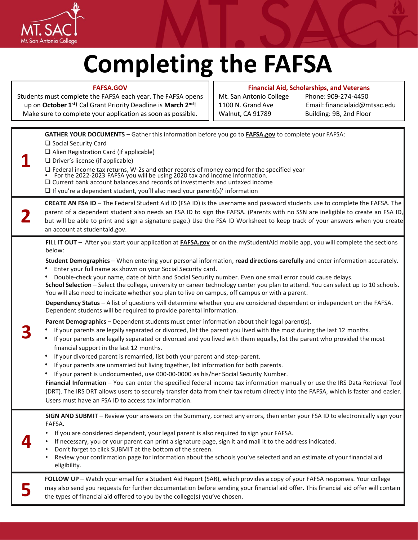

**FAFSA.GOV**

## **Completing the FAFSA**

**Financial Aid, Scholarships, and Veterans** 

| Students must complete the FAFSA each year. The FAFSA opens<br>up on October 1 <sup>st</sup> ! Cal Grant Priority Deadline is March 2 <sup>nd</sup> ! |                                                                                                                                                                                                                                                                                                                                                                                                                                                                                                                                                                                                                                                                                                                                                                                                                                                                                                                                                                                                                                                                                                                                                                                                                                                                                                                                                                                                                                                                                                                                                                                                                                                                                                                                                                                                                                                                                                                | Mt. San Antonio College<br>1100 N. Grand Ave | Phone: 909-274-4450<br>Email: financialaid@mtsac.edu |  |
|-------------------------------------------------------------------------------------------------------------------------------------------------------|----------------------------------------------------------------------------------------------------------------------------------------------------------------------------------------------------------------------------------------------------------------------------------------------------------------------------------------------------------------------------------------------------------------------------------------------------------------------------------------------------------------------------------------------------------------------------------------------------------------------------------------------------------------------------------------------------------------------------------------------------------------------------------------------------------------------------------------------------------------------------------------------------------------------------------------------------------------------------------------------------------------------------------------------------------------------------------------------------------------------------------------------------------------------------------------------------------------------------------------------------------------------------------------------------------------------------------------------------------------------------------------------------------------------------------------------------------------------------------------------------------------------------------------------------------------------------------------------------------------------------------------------------------------------------------------------------------------------------------------------------------------------------------------------------------------------------------------------------------------------------------------------------------------|----------------------------------------------|------------------------------------------------------|--|
|                                                                                                                                                       | Make sure to complete your application as soon as possible.                                                                                                                                                                                                                                                                                                                                                                                                                                                                                                                                                                                                                                                                                                                                                                                                                                                                                                                                                                                                                                                                                                                                                                                                                                                                                                                                                                                                                                                                                                                                                                                                                                                                                                                                                                                                                                                    | Walnut, CA 91789                             | Building: 9B, 2nd Floor                              |  |
|                                                                                                                                                       | GATHER YOUR DOCUMENTS - Gather this information before you go to FAFSA.gov to complete your FAFSA:<br>$\Box$ Social Security Card<br>$\Box$ Alien Registration Card (if applicable)<br>$\Box$ Driver's license (if applicable)<br>$\Box$ Federal income tax returns, W-2s and other records of money earned for the specified year • For the 2022-2023 FAFSA you will be using 2020 tax and income information.<br>$\square$ Current bank account balances and records of investments and untaxed income<br>$\Box$ If you're a dependent student, you'll also need your parent(s)' information                                                                                                                                                                                                                                                                                                                                                                                                                                                                                                                                                                                                                                                                                                                                                                                                                                                                                                                                                                                                                                                                                                                                                                                                                                                                                                                 |                                              |                                                      |  |
|                                                                                                                                                       | CREATE AN FSA ID - The Federal Student Aid ID (FSA ID) is the username and password students use to complete the FAFSA. The<br>parent of a dependent student also needs an FSA ID to sign the FAFSA. (Parents with no SSN are ineligible to create an FSA ID,<br>but will be able to print and sign a signature page.) Use the FSA ID Worksheet to keep track of your answers when you create<br>an account at studentaid.gov.                                                                                                                                                                                                                                                                                                                                                                                                                                                                                                                                                                                                                                                                                                                                                                                                                                                                                                                                                                                                                                                                                                                                                                                                                                                                                                                                                                                                                                                                                 |                                              |                                                      |  |
|                                                                                                                                                       | FILL IT OUT - After you start your application at <b>FAFSA.gov</b> or on the myStudentAid mobile app, you will complete the sections<br>below:<br>Student Demographics - When entering your personal information, read directions carefully and enter information accurately.<br>Enter your full name as shown on your Social Security card.<br>Double-check your name, date of birth and Social Security number. Even one small error could cause delays.<br>School Selection - Select the college, university or career technology center you plan to attend. You can select up to 10 schools.<br>You will also need to indicate whether you plan to live on campus, off campus or with a parent.<br>Dependency Status - A list of questions will determine whether you are considered dependent or independent on the FAFSA.<br>Dependent students will be required to provide parental information.<br>Parent Demographics - Dependent students must enter information about their legal parent(s).<br>If your parents are legally separated or divorced, list the parent you lived with the most during the last 12 months.<br>If your parents are legally separated or divorced and you lived with them equally, list the parent who provided the most<br>٠<br>financial support in the last 12 months.<br>If your divorced parent is remarried, list both your parent and step-parent.<br>If your parents are unmarried but living together, list information for both parents.<br>If your parent is undocumented, use 000-00-0000 as his/her Social Security Number.<br>Financial Information - You can enter the specified federal income tax information manually or use the IRS Data Retrieval Tool<br>(DRT). The IRS DRT allows users to securely transfer data from their tax return directly into the FAFSA, which is faster and easier.<br>Users must have an FSA ID to access tax information. |                                              |                                                      |  |
|                                                                                                                                                       | SIGN AND SUBMIT - Review your answers on the Summary, correct any errors, then enter your FSA ID to electronically sign your<br>FAFSA.<br>If you are considered dependent, your legal parent is also required to sign your FAFSA.<br>If necessary, you or your parent can print a signature page, sign it and mail it to the address indicated.<br>Don't forget to click SUBMIT at the bottom of the screen.<br>Review your confirmation page for information about the schools you've selected and an estimate of your financial aid<br>eligibility.                                                                                                                                                                                                                                                                                                                                                                                                                                                                                                                                                                                                                                                                                                                                                                                                                                                                                                                                                                                                                                                                                                                                                                                                                                                                                                                                                          |                                              |                                                      |  |
|                                                                                                                                                       | FOLLOW UP - Watch your email for a Student Aid Report (SAR), which provides a copy of your FAFSA responses. Your college<br>may also send you requests for further documentation before sending your financial aid offer. This financial aid offer will contain<br>the types of financial aid offered to you by the college(s) you've chosen.                                                                                                                                                                                                                                                                                                                                                                                                                                                                                                                                                                                                                                                                                                                                                                                                                                                                                                                                                                                                                                                                                                                                                                                                                                                                                                                                                                                                                                                                                                                                                                  |                                              |                                                      |  |